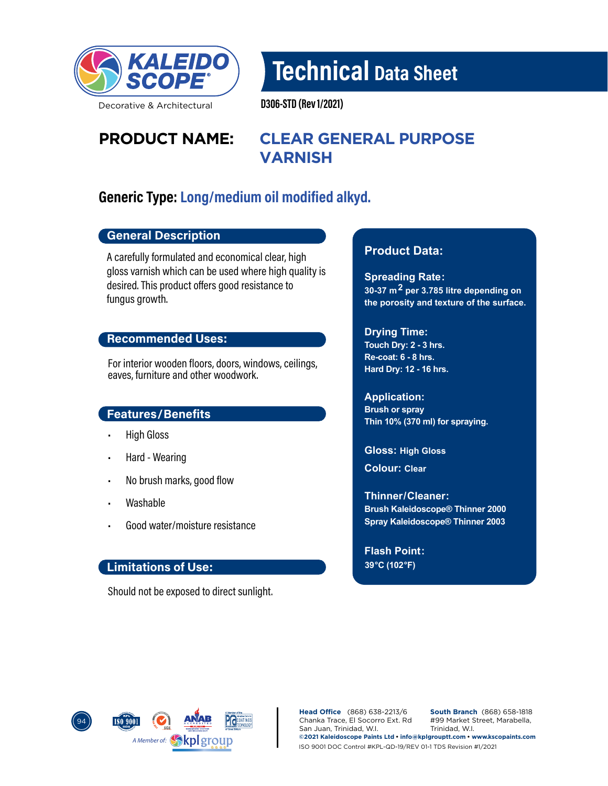

Decorative & Architectural

Technical Data Sheet

D306-STD (Rev 1/2021)

# **PRODUCT NAME: CLEAR GENERAL PURPOSE VARNISH**

## Generic Type: Long/medium oil modified alkyd.

#### General Description

A carefully formulated and economical clear, high gloss varnish which can be used where high quality is desired. This product offers good resistance to fungus growth.

#### Recommended Uses:

For interior wooden floors, doors, windows, ceilings, eaves, furniture and other woodwork.

#### Features/Benefits

- High Gloss
- Hard Wearing
- No brush marks, good flow
- Washable
- Good water/moisture resistance

#### Limitations of Use:

Should not be exposed to direct sunlight.

#### **Product Data:**

**Spreading Rate: 30-37 m2 per 3.785 litre depending on the porosity and texture of the surface.**

#### **Drying Time:**

**Touch Dry: 2 - 3 hrs. Re-coat: 6 - 8 hrs. Hard Dry: 12 - 16 hrs.** 

**Application: Brush or spray Thin 10% (370 ml) for spraying.**

**Gloss: High Gloss**

**Colour: Clear**

**Brush Kaleidoscope® Thinner 2000 Spray Kaleidoscope® Thinner 2003 Thinner/ Cleaner:** 

**Flash Point: 39°C (102°F)**



**Head Office** (868) 638-2213/6 Chanka Trace, El Socorro Ext. Rd San Juan, Trinidad, W.I. **South Branch** (868) 658-1818 #99 Market Street, Marabella, Trinidad, W.I. **©2021 Kaleidoscope Paints Ltd • info@kplgrouptt.com • www.kscopaints.com** ISO 9001 DOC Control #KPL-QD-19/REV 01-1 TDS Revision #1/2021